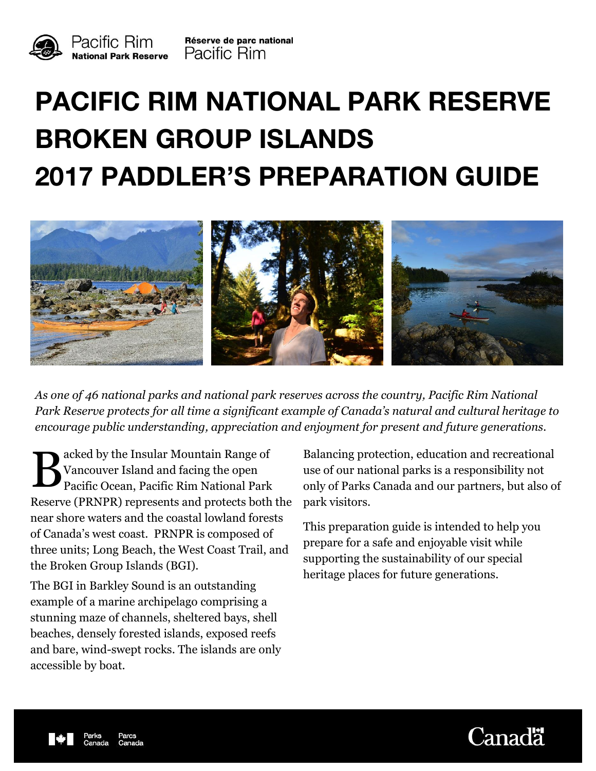



Réserve de parc national Pacific Rim

# **PACIFIC RIM NATIONAL PARK RESERVE BROKEN GROUP ISLANDS 2017 PADDLER'S PREPARATION GUIDE**



*As one of 46 national parks and national park reserves across the country, Pacific Rim National Park Reserve protects for all time a significant example of Canada's natural and cultural heritage to encourage public understanding, appreciation and enjoyment for present and future generations.* 

B acked by the Insular Mountain Range of Pacific Ocean, Pacific Rim National Park Vancouver Island and facing the open Reserve (PRNPR) represents and protects both the near shore waters and the coastal lowland forests of Canada's west coast. PRNPR is composed of three units; Long Beach, the West Coast Trail, and the Broken Group Islands (BGI).

The BGI in Barkley Sound is an outstanding example of a marine archipelago comprising a stunning maze of channels, sheltered bays, shell beaches, densely forested islands, exposed reefs and bare, wind-swept rocks. The islands are only accessible by boat.

Balancing protection, education and recreational use of our national parks is a responsibility not only of Parks Canada and our partners, but also of park visitors.

This preparation guide is intended to help you prepare for a safe and enjoyable visit while supporting the sustainability of our special heritage places for future generations.



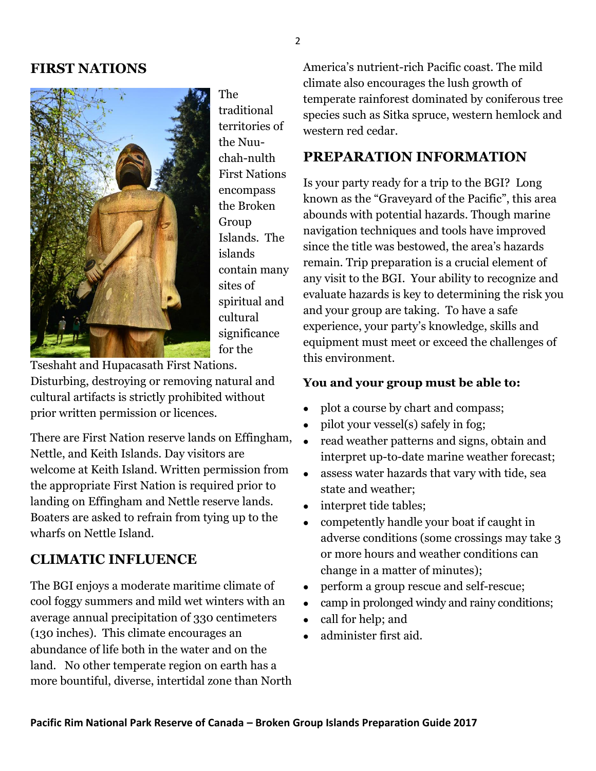## **FIRST NATIONS**



The traditional territories of the Nuuchah-nulth First Nations encompass the Broken Group Islands. The islands contain many sites of spiritual and cultural significance for the

Tseshaht and Hupacasath First Nations. Disturbing, destroying or removing natural and cultural artifacts is strictly prohibited without prior written permission or licences.

There are First Nation reserve lands on Effingham, Nettle, and Keith Islands. Day visitors are welcome at Keith Island. Written permission from the appropriate First Nation is required prior to landing on Effingham and Nettle reserve lands. Boaters are asked to refrain from tying up to the wharfs on Nettle Island.

## **CLIMATIC INFLUENCE**

The BGI enjoys a moderate maritime climate of cool foggy summers and mild wet winters with an average annual precipitation of 330 centimeters (130 inches). This climate encourages an abundance of life both in the water and on the land. No other temperate region on earth has a more bountiful, diverse, intertidal zone than North America's nutrient-rich Pacific coast. The mild climate also encourages the lush growth of temperate rainforest dominated by coniferous tree species such as Sitka spruce, western hemlock and western red cedar.

# **PREPARATION INFORMATION**

Is your party ready for a trip to the BGI? Long known as the "Graveyard of the Pacific", this area abounds with potential hazards. Though marine navigation techniques and tools have improved since the title was bestowed, the area's hazards remain. Trip preparation is a crucial element of any visit to the BGI. Your ability to recognize and evaluate hazards is key to determining the risk you and your group are taking. To have a safe experience, your party's knowledge, skills and equipment must meet or exceed the challenges of this environment.

#### **You and your group must be able to:**

- plot a course by chart and compass;
- pilot your vessel(s) safely in fog;  $\bullet$
- read weather patterns and signs, obtain and interpret up-to-date marine weather forecast;  $\bullet$
- assess water hazards that vary with tide, sea state and weather;  $\bullet$
- interpret tide tables;
- competently handle your boat if caught in adverse conditions (some crossings may take 3 or more hours and weather conditions can change in a matter of minutes);  $\bullet$
- perform a group rescue and self-rescue;
- camp in prolonged windy and rainy conditions;  $\bullet$
- call for help; and  $\bullet$
- administer first aid.  $\bullet$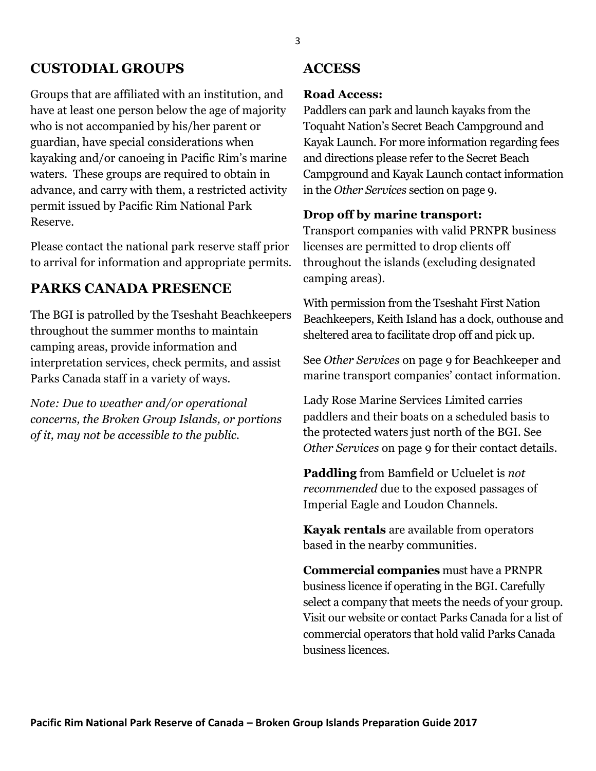## **CUSTODIAL GROUPS**

Groups that are affiliated with an institution, and have at least one person below the age of majority who is not accompanied by his/her parent or guardian, have special considerations when kayaking and/or canoeing in Pacific Rim's marine waters. These groups are required to obtain in advance, and carry with them, a restricted activity permit issued by Pacific Rim National Park Reserve.

Please contact the national park reserve staff prior to arrival for information and appropriate permits.

## **PARKS CANADA PRESENCE**

The BGI is patrolled by the Tseshaht Beachkeepers throughout the summer months to maintain camping areas, provide information and interpretation services, check permits, and assist Parks Canada staff in a variety of ways.

*Note: Due to weather and/or operational concerns, the Broken Group Islands, or portions of it, may not be accessible to the public.*

## **ACCESS**

#### **Road Access:**

Paddlers can park and launch kayaks from the Toquaht Nation's Secret Beach Campground and Kayak Launch. For more information regarding fees and directions please refer to the Secret Beach Campground and Kayak Launch contact information in the *Other Services* section on page 9.

#### **Drop off by marine transport:**

Transport companies with valid PRNPR business licenses are permitted to drop clients off throughout the islands (excluding designated camping areas).

With permission from the Tseshaht First Nation Beachkeepers, Keith Island has a dock, outhouse and sheltered area to facilitate drop off and pick up.

See *Other Services* on page 9 for Beachkeeper and marine transport companies' contact information.

Lady Rose Marine Services Limited carries paddlers and their boats on a scheduled basis to the protected waters just north of the BGI. See *Other Services* on page 9 for their contact details.

**Paddling** from Bamfield or Ucluelet is *not recommended* due to the exposed passages of Imperial Eagle and Loudon Channels.

**Kayak rentals** are available from operators based in the nearby communities.

**Commercial companies** must have a PRNPR business licence if operating in the BGI. Carefully select a company that meets the needs of your group. Visit our website or contact Parks Canada for a list of commercial operators that hold valid Parks Canada business licences.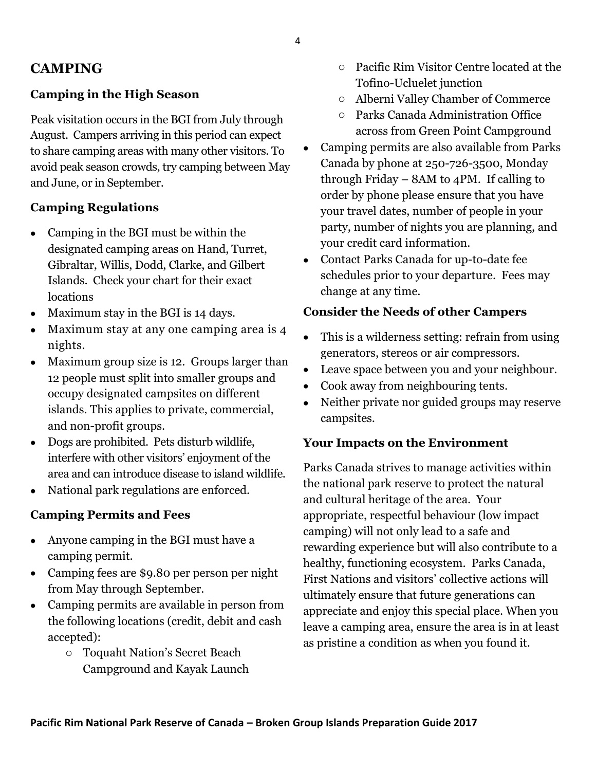# **CAMPING**

## **Camping in the High Season**

Peak visitation occurs in the BGI from July through August. Campers arriving in this period can expect to share camping areas with many other visitors. To avoid peak season crowds, try camping between May and June, or in September.

## **Camping Regulations**

- Camping in the BGI must be within the designated camping areas on Hand, Turret, Gibraltar, Willis, Dodd, Clarke, and Gilbert Islands. Check your chart for their exact locations
- Maximum stay in the BGI is 14 days.  $\bullet$
- Maximum stay at any one camping area is 4 nights.  $\bullet$
- Maximum group size is 12. Groups larger than 12 people must split into smaller groups and occupy designated campsites on different islands. This applies to private, commercial, and non-profit groups.  $\bullet$
- Dogs are prohibited. Pets disturb wildlife, interfere with other visitors' enjoyment of the area and can introduce disease to island wildlife.  $\bullet$
- National park regulations are enforced.  $\bullet$

#### **Camping Permits and Fees**

- Anyone camping in the BGI must have a camping permit.
- Camping fees are \$9.80 per person per night from May through September.
- Camping permits are available in person from the following locations (credit, debit and cash accepted):
	- o Toquaht Nation's Secret Beach Campground and Kayak Launch
- o Pacific Rim Visitor Centre located at the Tofino-Ucluelet junction
- o Alberni Valley Chamber of Commerce
- o Parks Canada Administration Office across from Green Point Campground
- Camping permits are also available from Parks Canada by phone at 250-726-3500, Monday through Friday –  $8AM$  to  $4PM$ . If calling to order by phone please ensure that you have your travel dates, number of people in your party, number of nights you are planning, and your credit card information.  $\bullet$
- Contact Parks Canada for up-to-date fee schedules prior to your departure. Fees may change at any time.

#### **Consider the Needs of other Campers**

- This is a wilderness setting: refrain from using generators, stereos or air compressors.
- Leave space between you and your neighbour.  $\bullet$
- Cook away from neighbouring tents.  $\bullet$
- Neither private nor guided groups may reserve campsites.  $\bullet$

#### **Your Impacts on the Environment**

Parks Canada strives to manage activities within the national park reserve to protect the natural and cultural heritage of the area. Your appropriate, respectful behaviour (low impact camping) will not only lead to a safe and rewarding experience but will also contribute to a healthy, functioning ecosystem. Parks Canada, First Nations and visitors' collective actions will ultimately ensure that future generations can appreciate and enjoy this special place. When you leave a camping area, ensure the area is in at least as pristine a condition as when you found it.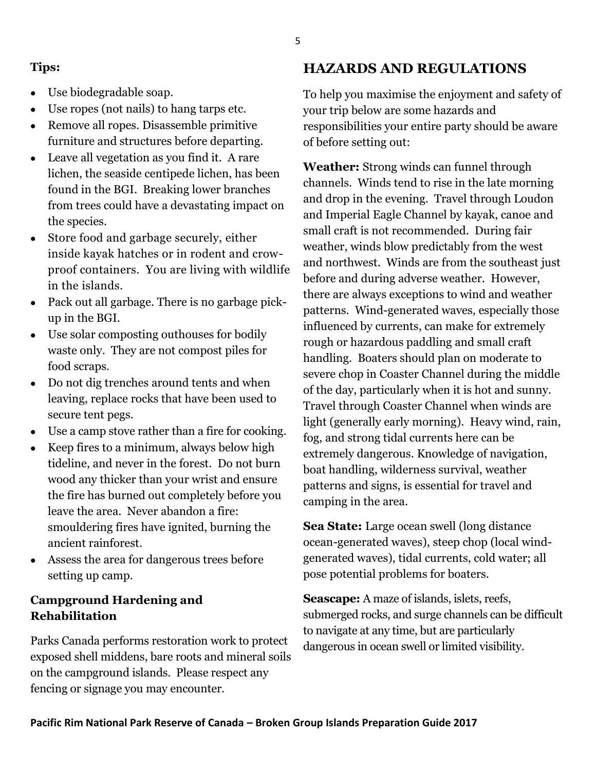#### **Tips:**

- Use biodegradable soap.
- Use ropes (not nails) to hang tarps etc.  $\bullet$
- Remove all ropes. Disassemble primitive furniture and structures before departing.  $\bullet$
- Leave all vegetation as you find it. A rare lichen, the seaside centipede lichen, has been found in the BGI. Breaking lower branches from trees could have a devastating impact on the species.
- Store food and garbage securely, either inside kayak hatches or in rodent and crowproof containers. You are living with wildlife in the islands.  $\bullet$
- Pack out all garbage. There is no garbage pick up in the BGI.
- Use solar composting outhouses for bodily waste only. They are not compost piles for food scraps.
- Do not dig trenches around tents and when leaving, replace rocks that have been used to secure tent pegs.  $\bullet$
- Use a camp stove rather than a fire for cooking.  $\bullet$
- Keep fires to a minimum, always below high tideline, and never in the forest. Do not burn wood any thicker than your wrist and ensure the fire has burned out completely before you leave the area. Never abandon a fire: smouldering fires have ignited, burning the ancient rainforest.  $\bullet$
- Assess the area for dangerous trees before setting up camp.  $\bullet$

## **Campground Hardening and Rehabilitation**

Parks Canada performs restoration work to protect exposed shell middens, bare roots and mineral soils on the campground islands. Please respect any fencing or signage you may encounter.

# **HAZARDS AND REGULATIONS**

To help you maximise the enjoyment and safety of your trip below are some hazards and responsibilities your entire party should be aware of before setting out:

**Weather:** Strong winds can funnel through channels. Winds tend to rise in the late morning and drop in the evening. Travel through Loudon and Imperial Eagle Channel by kayak, canoe and small craft is not recommended. During fair weather, winds blow predictably from the west and northwest. Winds are from the southeast just before and during adverse weather. However, there are always exceptions to wind and weather patterns. Wind-generated waves, especially those influenced by currents, can make for extremely rough or hazardous paddling and small craft handling. Boaters should plan on moderate to severe chop in Coaster Channel during the middle of the day, particularly when it is hot and sunny. Travel through Coaster Channel when winds are light (generally early morning). Heavy wind, rain, fog, and strong tidal currents here can be extremely dangerous. Knowledge of navigation, boat handling, wilderness survival, weather patterns and signs, is essential for travel and camping in the area.

**Sea State:** Large ocean swell (long distance ocean-generated waves), steep chop (local windgenerated waves), tidal currents, cold water; all pose potential problems for boaters.

**Seascape:** A maze of islands, islets, reefs, submerged rocks, and surge channels can be difficult to navigate at any time, but are particularly dangerous in ocean swell or limited visibility.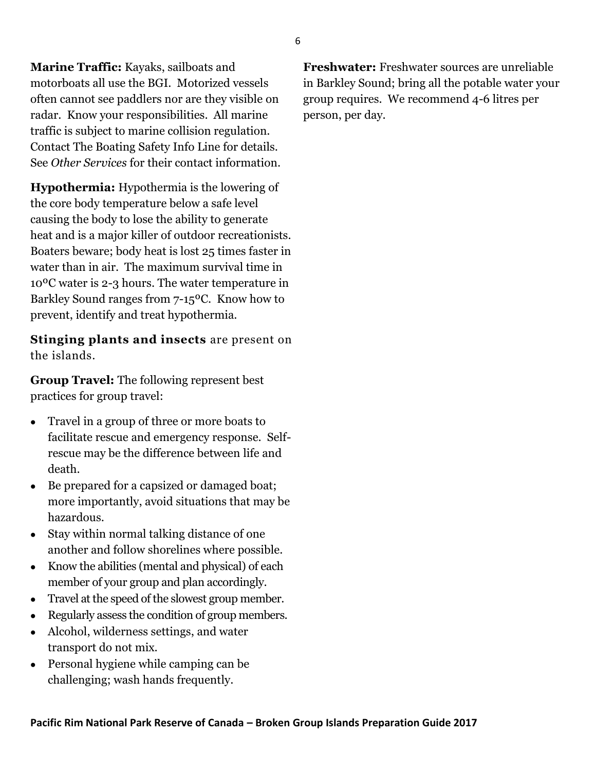**Marine Traffic:** Kayaks, sailboats and motorboats all use the BGI. Motorized vessels often cannot see paddlers nor are they visible on radar. Know your responsibilities. All marine traffic is subject to marine collision regulation. Contact The Boating Safety Info Line for details. See *Other Services* for their contact information.

**Hypothermia:** Hypothermia is the lowering of the core body temperature below a safe level causing the body to lose the ability to generate heat and is a major killer of outdoor recreationists. Boaters beware; body heat is lost 25 times faster in water than in air. The maximum survival time in 10ºC water is 2-3 hours. The water temperature in Barkley Sound ranges from 7-15ºC. Know how to prevent, identify and treat hypothermia.

**Stinging plants and insects** are present on the islands.

**Group Travel:** The following represent best practices for group travel:

- Travel in a group of three or more boats to facilitate rescue and emergency response. Selfrescue may be the difference between life and death.  $\bullet$
- Be prepared for a capsized or damaged boat; more importantly, avoid situations that may be hazardous.  $\bullet$
- Stay within normal talking distance of one another and follow shorelines where possible.  $\bullet$
- Know the abilities (mental and physical) of each member of your group and plan accordingly.  $\bullet$
- Travel at the speed of the slowest group member.  $\bullet$
- Regularly assess the condition of group members.  $\bullet$
- Alcohol, wilderness settings, and water transport do not mix.  $\bullet$
- Personal hygiene while camping can be challenging; wash hands frequently.  $\bullet$

**Freshwater:** Freshwater sources are unreliable in Barkley Sound; bring all the potable water your group requires. We recommend 4-6 litres per person, per day.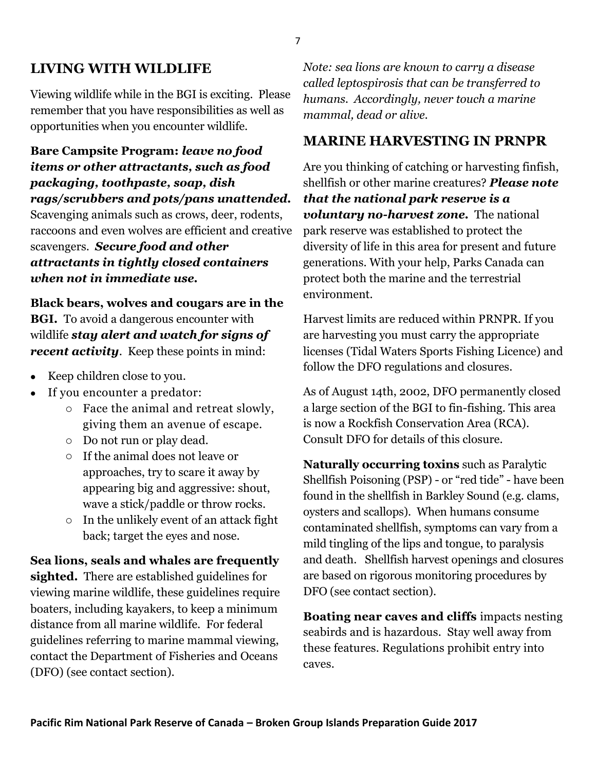# **LIVING WITH WILDLIFE**

Viewing wildlife while in the BGI is exciting. Please remember that you have responsibilities as well as opportunities when you encounter wildlife.

**Bare Campsite Program:** *leave no food items or other attractants, such as food packaging, toothpaste, soap, dish rags/scrubbers and pots/pans unattended.*  Scavenging animals such as crows, deer, rodents, raccoons and even wolves are efficient and creative scavengers. *Secure food and other attractants in tightly closed containers when not in immediate use.* 

**Black bears, wolves and cougars are in the BGI.** To avoid a dangerous encounter with wildlife *stay alert and watch for signs of recent activity*. Keep these points in mind:

- Keep children close to you.
- If you encounter a predator:
	- o Face the animal and retreat slowly, giving them an avenue of escape.
	- o Do not run or play dead.
	- o If the animal does not leave or approaches, try to scare it away by appearing big and aggressive: shout, wave a stick/paddle or throw rocks.
	- o In the unlikely event of an attack fight back; target the eyes and nose.

**Sea lions, seals and whales are frequently sighted.** There are established guidelines for viewing marine wildlife, these guidelines require boaters, including kayakers, to keep a minimum distance from all marine wildlife. For federal guidelines referring to marine mammal viewing, contact the Department of Fisheries and Oceans (DFO) (see contact section).

*Note: sea lions are known to carry a disease called leptospirosis that can be transferred to humans. Accordingly, never touch a marine mammal, dead or alive.* 

# **MARINE HARVESTING IN PRNPR**

Are you thinking of catching or harvesting finfish, shellfish or other marine creatures? *Please note that the national park reserve is a voluntary no-harvest zone.* The national park reserve was established to protect the diversity of life in this area for present and future generations. With your help, Parks Canada can protect both the marine and the terrestrial environment.

Harvest limits are reduced within PRNPR. If you are harvesting you must carry the appropriate licenses (Tidal Waters Sports Fishing Licence) and follow the DFO regulations and closures.

As of August 14th, 2002, DFO permanently closed a large section of the BGI to fin-fishing. This area is now a Rockfish Conservation Area (RCA). Consult DFO for details of this closure.

**Naturally occurring toxins** such as Paralytic Shellfish Poisoning (PSP) - or "red tide" - have been found in the shellfish in Barkley Sound (e.g. clams, oysters and scallops). When humans consume contaminated shellfish, symptoms can vary from a mild tingling of the lips and tongue, to paralysis and death. Shellfish harvest openings and closures are based on rigorous monitoring procedures by DFO (see contact section).

**Boating near caves and cliffs** impacts nesting seabirds and is hazardous. Stay well away from these features. Regulations prohibit entry into caves.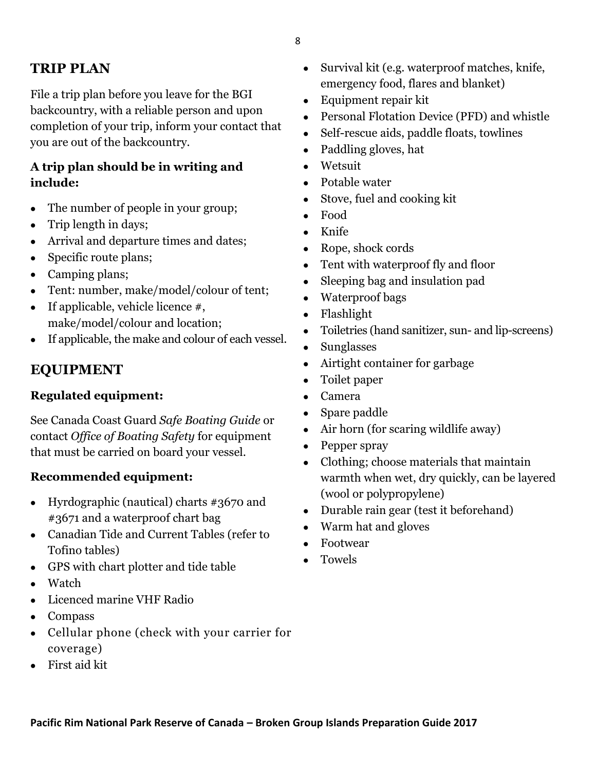# **TRIP PLAN**

File a trip plan before you leave for the BGI backcountry, with a reliable person and upon completion of your trip, inform your contact that you are out of the backcountry.

## **A trip plan should be in writing and include:**

- The number of people in your group;
- Trip length in days;  $\bullet$
- Arrival and departure times and dates;  $\bullet$
- Specific route plans;  $\bullet$
- Camping plans;
- Tent: number, make/model/colour of tent;  $\bullet$
- If applicable, vehicle licence #, make/model/colour and location;  $\bullet$
- If applicable, the make and colour of each vessel.  $\bullet$

## **EQUIPMENT**

## **Regulated equipment:**

See Canada Coast Guard *Safe Boating Guide* or contact *Office of Boating Safety* for equipment that must be carried on board your vessel.

## **Recommended equipment:**

- Hyrdographic (nautical) charts #3670 and #3671 and a waterproof chart bag
- Canadian Tide and Current Tables (refer to Tofino tables)
- GPS with chart plotter and tide table
- Watch  $\bullet$
- Licenced marine VHF Radio
- Compass
- Cellular phone (check with your carrier for coverage)
- First aid kit  $\bullet$
- Survival kit (e.g. waterproof matches, knife, emergency food, flares and blanket)
- Equipment repair kit  $\bullet$
- Personal Flotation Device (PFD) and whistle  $\bullet$
- Self-rescue aids, paddle floats, towlines  $\bullet$
- Paddling gloves, hat  $\bullet$
- Wetsuit  $\bullet$
- Potable water  $\bullet$
- Stove, fuel and cooking kit  $\bullet$
- Food  $\bullet$
- Knife
- Rope, shock cords  $\bullet$
- Tent with waterproof fly and floor  $\bullet$
- Sleeping bag and insulation pad  $\bullet$
- Waterproof bags  $\bullet$
- Flashlight
- Toiletries (hand sanitizer, sun- and lip-screens)  $\bullet$
- Sunglasses  $\bullet$
- Airtight container for garbage  $\bullet$
- Toilet paper  $\bullet$
- Camera
- Spare paddle  $\bullet$
- Air horn (for scaring wildlife away)
- Pepper spray
- Clothing; choose materials that maintain warmth when wet, dry quickly, can be layered (wool or polypropylene)
- Durable rain gear (test it beforehand)
- Warm hat and gloves  $\bullet$
- Footwear  $\bullet$
- Towels  $\bullet$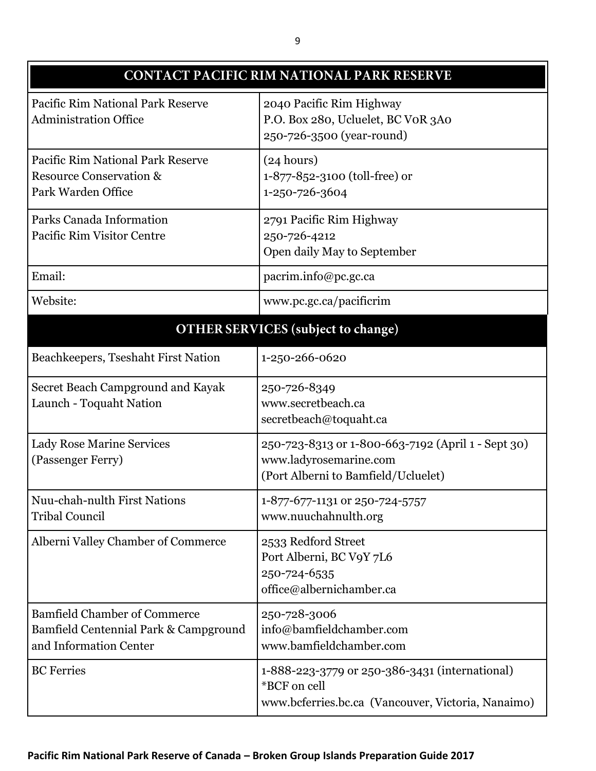| CONTACT PACIFIC RIM NATIONAL PARK RESERVE                                                              |                                                                                                                      |
|--------------------------------------------------------------------------------------------------------|----------------------------------------------------------------------------------------------------------------------|
| Pacific Rim National Park Reserve<br><b>Administration Office</b>                                      | 2040 Pacific Rim Highway<br>P.O. Box 280, Ucluelet, BC VOR 3A0<br>250-726-3500 (year-round)                          |
| Pacific Rim National Park Reserve<br><b>Resource Conservation &amp;</b><br>Park Warden Office          | (24 hours)<br>1-877-852-3100 (toll-free) or<br>1-250-726-3604                                                        |
| Parks Canada Information<br>Pacific Rim Visitor Centre                                                 | 2791 Pacific Rim Highway<br>250-726-4212<br>Open daily May to September                                              |
| Email:                                                                                                 | pacrim.info@pc.gc.ca                                                                                                 |
| Website:                                                                                               | www.pc.gc.ca/pacificrim                                                                                              |
| <b>OTHER SERVICES</b> (subject to change)                                                              |                                                                                                                      |
| Beachkeepers, Tseshaht First Nation                                                                    | 1-250-266-0620                                                                                                       |
| Secret Beach Campground and Kayak<br>Launch - Toquaht Nation                                           | 250-726-8349<br>www.secretbeach.ca<br>secretbeach@toquaht.ca                                                         |
| <b>Lady Rose Marine Services</b><br>(Passenger Ferry)                                                  | 250-723-8313 or 1-800-663-7192 (April 1 - Sept 30)<br>www.ladyrosemarine.com<br>(Port Alberni to Bamfield/Ucluelet)  |
| Nuu-chah-nulth First Nations<br><b>Tribal Council</b>                                                  | 1-877-677-1131 or 250-724-5757<br>www.nuuchahnulth.org                                                               |
| Alberni Valley Chamber of Commerce                                                                     | 2533 Redford Street<br>Port Alberni, BC V9Y 7L6<br>250-724-6535<br>office@albernichamber.ca                          |
| <b>Bamfield Chamber of Commerce</b><br>Bamfield Centennial Park & Campground<br>and Information Center | 250-728-3006<br>info@bamfieldchamber.com<br>www.bamfieldchamber.com                                                  |
| <b>BC</b> Ferries                                                                                      | 1-888-223-3779 or 250-386-3431 (international)<br>*BCF on cell<br>www.bcferries.bc.ca (Vancouver, Victoria, Nanaimo) |